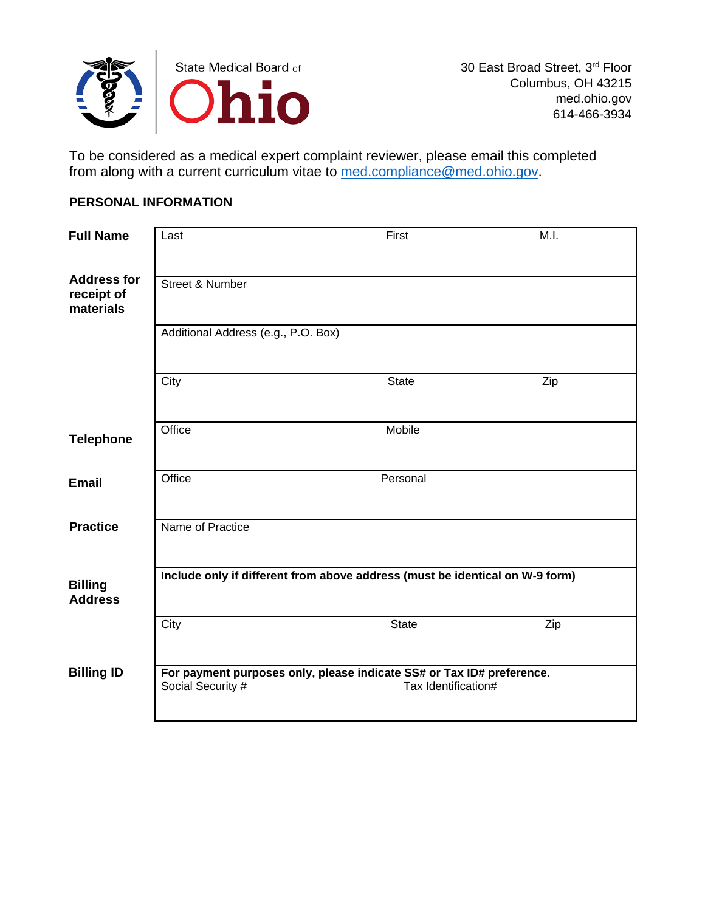

To be considered as a medical expert complaint reviewer, please email this completed from along with a current curriculum vitae to [med.compliance@med.ohio.gov.](mailto:med.compliance@med.ohio.gov)

### **PERSONAL INFORMATION**

| <b>Full Name</b>                              | Last                                | First                                                                                        | M.I. |
|-----------------------------------------------|-------------------------------------|----------------------------------------------------------------------------------------------|------|
| <b>Address for</b><br>receipt of<br>materials | <b>Street &amp; Number</b>          |                                                                                              |      |
|                                               | Additional Address (e.g., P.O. Box) |                                                                                              |      |
|                                               | City                                | <b>State</b>                                                                                 | Zip  |
| <b>Telephone</b>                              | Office                              | Mobile                                                                                       |      |
| <b>Email</b>                                  | Office                              | Personal                                                                                     |      |
| <b>Practice</b>                               | Name of Practice                    |                                                                                              |      |
| <b>Billing</b><br><b>Address</b>              |                                     | Include only if different from above address (must be identical on W-9 form)                 |      |
|                                               | City                                | <b>State</b>                                                                                 | Zip  |
| <b>Billing ID</b>                             | Social Security #                   | For payment purposes only, please indicate SS# or Tax ID# preference.<br>Tax Identification# |      |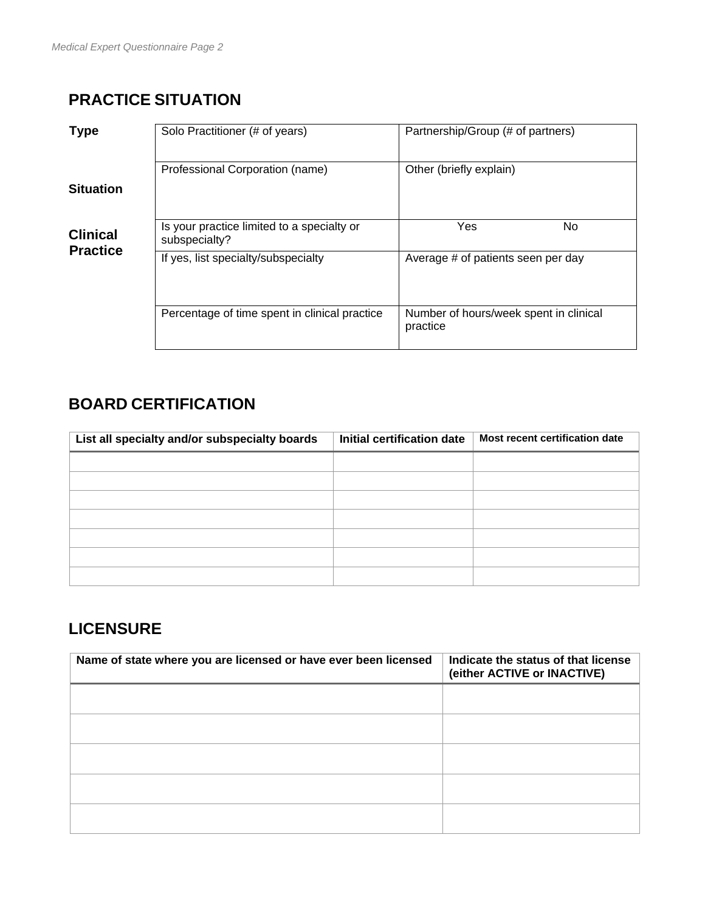# **PRACTICE SITUATION**

| <b>Type</b>                        | Solo Practitioner (# of years)                              | Partnership/Group (# of partners)                  |
|------------------------------------|-------------------------------------------------------------|----------------------------------------------------|
| <b>Situation</b>                   | Professional Corporation (name)                             | Other (briefly explain)                            |
|                                    |                                                             |                                                    |
| <b>Clinical</b><br><b>Practice</b> | Is your practice limited to a specialty or<br>subspecialty? | Yes<br>No.                                         |
|                                    | If yes, list specialty/subspecialty                         | Average # of patients seen per day                 |
|                                    | Percentage of time spent in clinical practice               | Number of hours/week spent in clinical<br>practice |

## **BOARD CERTIFICATION**

| List all specialty and/or subspecialty boards | Initial certification date | Most recent certification date |
|-----------------------------------------------|----------------------------|--------------------------------|
|                                               |                            |                                |
|                                               |                            |                                |
|                                               |                            |                                |
|                                               |                            |                                |
|                                               |                            |                                |
|                                               |                            |                                |
|                                               |                            |                                |

## **LICENSURE**

| Name of state where you are licensed or have ever been licensed | Indicate the status of that license<br>(either ACTIVE or INACTIVE) |
|-----------------------------------------------------------------|--------------------------------------------------------------------|
|                                                                 |                                                                    |
|                                                                 |                                                                    |
|                                                                 |                                                                    |
|                                                                 |                                                                    |
|                                                                 |                                                                    |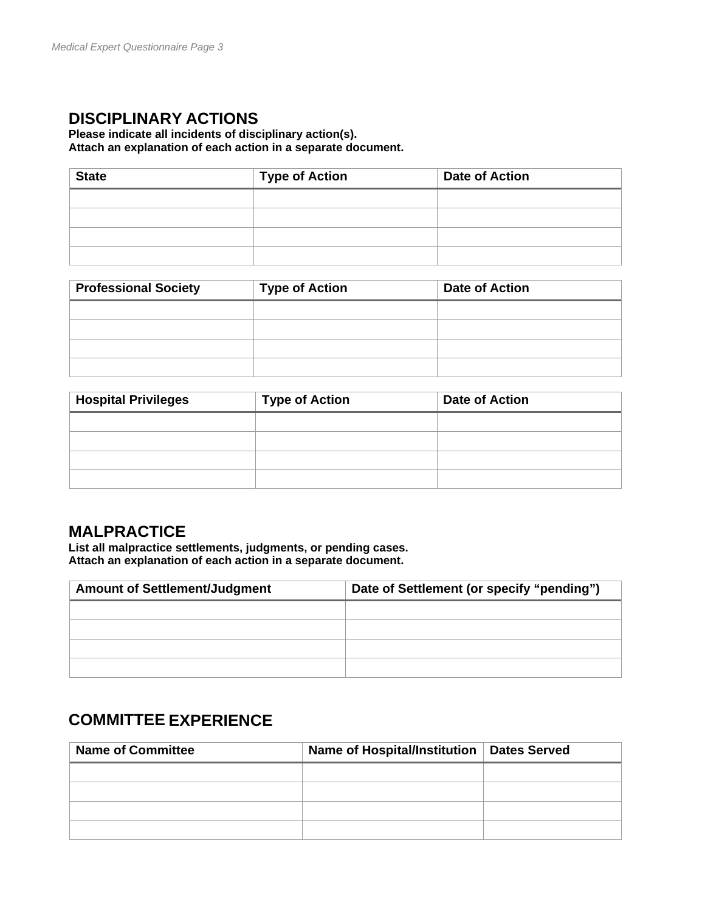## **DISCIPLINARY ACTIONS**

#### **Please indicate all incidents of disciplinary action(s). Attach an explanation of each action in a separate document.**

| <b>State</b> | <b>Type of Action</b> | <b>Date of Action</b> |
|--------------|-----------------------|-----------------------|
|              |                       |                       |
|              |                       |                       |
|              |                       |                       |
|              |                       |                       |

| <b>Professional Society</b> | <b>Type of Action</b> | <b>Date of Action</b> |
|-----------------------------|-----------------------|-----------------------|
|                             |                       |                       |
|                             |                       |                       |
|                             |                       |                       |
|                             |                       |                       |

| <b>Hospital Privileges</b> | <b>Type of Action</b> | <b>Date of Action</b> |
|----------------------------|-----------------------|-----------------------|
|                            |                       |                       |
|                            |                       |                       |
|                            |                       |                       |
|                            |                       |                       |

### **MALPRACTICE**

**List all malpractice settlements, judgments, or pending cases. Attach an explanation of each action in a separate document.**

| <b>Amount of Settlement/Judgment</b> | Date of Settlement (or specify "pending") |
|--------------------------------------|-------------------------------------------|
|                                      |                                           |
|                                      |                                           |
|                                      |                                           |
|                                      |                                           |

## **COMMITTEE EXPERIENCE**

| <b>Name of Committee</b> | Name of Hospital/Institution   Dates Served |  |
|--------------------------|---------------------------------------------|--|
|                          |                                             |  |
|                          |                                             |  |
|                          |                                             |  |
|                          |                                             |  |